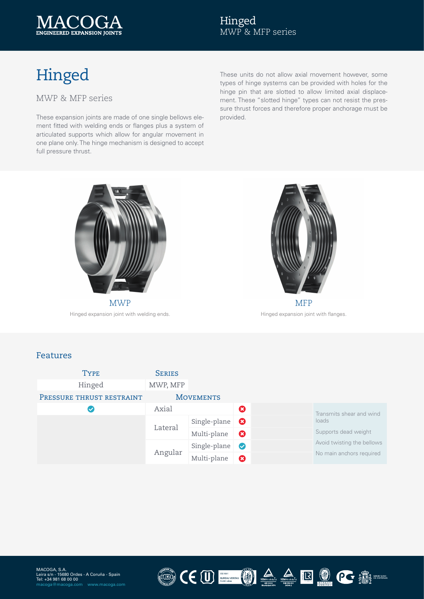

## Hinged

MWP & MFP series

These expansion joints are made of one single bellows ele- provided. ment fitted with welding ends or flanges plus a system of articulated supports which allow for angular movement in one plane only. The hinge mechanism is designed to accept full pressure thrust.

These units do not allow axial movement however, some types of hinge systems can be provided with holes for the hinge pin that are slotted to allow limited axial displacement. These "slotted hinge" types can not resist the pressure thrust forces and therefore proper anchorage must be



MWP Hinged expansion joint with welding ends.



Hinged expansion joint with flanges.

## Features

| <b>TYPE</b>               | <b>SERIES</b>    |              |                       |  |                                                                                |
|---------------------------|------------------|--------------|-----------------------|--|--------------------------------------------------------------------------------|
| Hinged                    | MWP, MFP         |              |                       |  |                                                                                |
| PRESSURE THRUST RESTRAINT | <b>MOVEMENTS</b> |              |                       |  |                                                                                |
|                           | Axial            |              | ❻                     |  | Transmits shear and wind                                                       |
|                           | Lateral          | Single-plane | $\boldsymbol{\Omega}$ |  | loads                                                                          |
|                           |                  | Multi-plane  | $\boldsymbol{\Omega}$ |  | Supports dead weight<br>Avoid twisting the bellows<br>No main anchors required |
|                           | Angular          | Single-plane | $\bullet$             |  |                                                                                |
|                           |                  | Multi-plane  | 0                     |  |                                                                                |

LUMA)